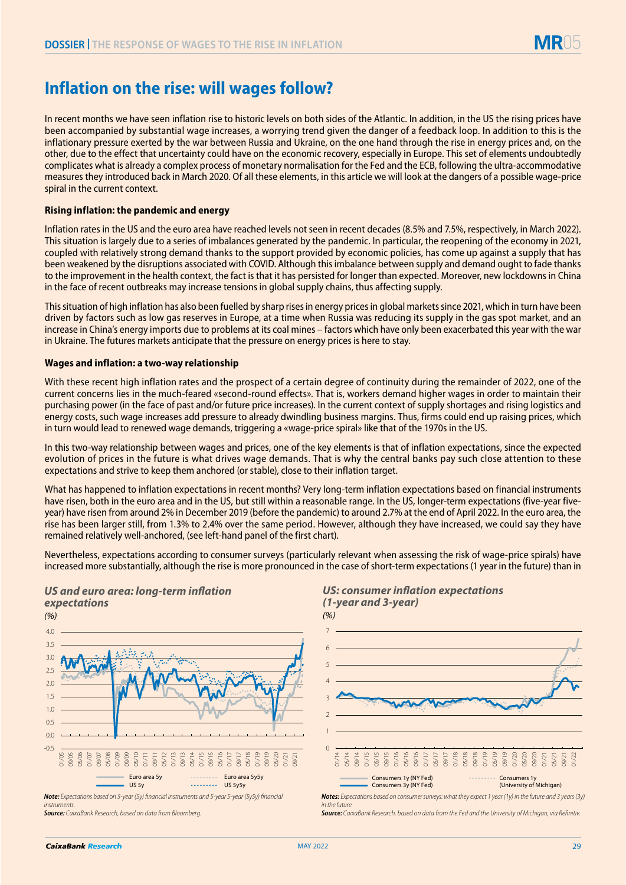# **Inflation on the rise: will wages follow?**

In recent months we have seen inflation rise to historic levels on both sides of the Atlantic. In addition, in the US the rising prices have been accompanied by substantial wage increases, a worrying trend given the danger of a feedback loop. In addition to this is the inflationary pressure exerted by the war between Russia and Ukraine, on the one hand through the rise in energy prices and, on the other, due to the effect that uncertainty could have on the economic recovery, especially in Europe. This set of elements undoubtedly complicates what is already a complex process of monetary normalisation for the Fed and the ECB, following the ultra-accommodative measures they introduced back in March 2020. Of all these elements, in this article we will look at the dangers of a possible wage-price spiral in the current context.

## **Rising inflation: the pandemic and energy**

Inflation rates in the US and the euro area have reached levels not seen in recent decades (8.5% and 7.5%, respectively, in March 2022). This situation is largely due to a series of imbalances generated by the pandemic. In particular, the reopening of the economy in 2021, coupled with relatively strong demand thanks to the support provided by economic policies, has come up against a supply that has been weakened by the disruptions associated with COVID. Although this imbalance between supply and demand ought to fade thanks to the improvement in the health context, the fact is that it has persisted for longer than expected. Moreover, new lockdowns in China in the face of recent outbreaks may increase tensions in global supply chains, thus affecting supply.

This situation of high inflation has also been fuelled by sharp rises in energy prices in global markets since 2021, which in turn have been driven by factors such as low gas reserves in Europe, at a time when Russia was reducing its supply in the gas spot market, and an increase in China's energy imports due to problems at its coal mines – factors which have only been exacerbated this year with the war in Ukraine. The futures markets anticipate that the pressure on energy prices is here to stay.

#### **Wages and inflation: a two-way relationship**

*US and euro area: long-term inflation* 

With these recent high inflation rates and the prospect of a certain degree of continuity during the remainder of 2022, one of the current concerns lies in the much-feared «second-round effects». That is, workers demand higher wages in order to maintain their purchasing power (in the face of past and/or future price increases). In the current context of supply shortages and rising logistics and energy costs, such wage increases add pressure to already dwindling business margins. Thus, firms could end up raising prices, which in turn would lead to renewed wage demands, triggering a «wage-price spiral» like that of the 1970s in the US.

In this two-way relationship between wages and prices, one of the key elements is that of inflation expectations, since the expected evolution of prices in the future is what drives wage demands. That is why the central banks pay such close attention to these expectations and strive to keep them anchored (or stable), close to their inflation target.

What has happened to inflation expectations in recent months? Very long-term inflation expectations based on financial instruments have risen, both in the euro area and in the US, but still within a reasonable range. In the US, longer-term expectations (five-year fiveyear) have risen from around 2% in December 2019 (before the pandemic) to around 2.7% at the end of April 2022. In the euro area, the rise has been larger still, from 1.3% to 2.4% over the same period. However, although they have increased, we could say they have remained relatively well-anchored, (see left-hand panel of the first chart).

Nevertheless, expectations according to consumer surveys (particularly relevant when assessing the risk of wage-price spirals) have increased more substantially, although the rise is more pronounced in the case of short-term expectations (1 year in the future) than in



*Note: Expectations based on 5-year (5y) financial instruments and 5-year 5-year (5y5y) financial instruments.*

*Source: CaixaBank Research, based on data from Bloomberg.*



*Notes: Expectations based on consumer surveys: what they expect 1 year (1y) in the future and 3 years (3y) in the future.*

*Source: CaixaBank Research, based on data from the Fed and the University of Michigan, via Refinitiv.*